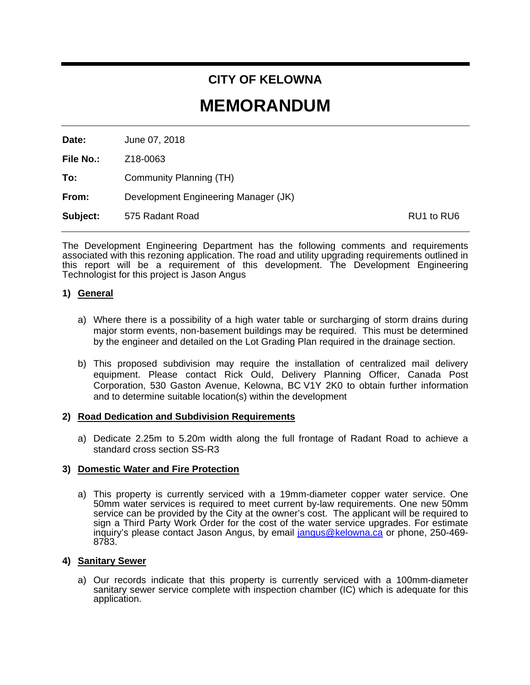# **CITY OF KELOWNA**

# **MEMORANDUM**

**Date:** June 07, 2018

**File No.:** Z18-0063

**To:** Community Planning (TH)

**From:** Development Engineering Manager (JK)

**Subject:** 575 Radant Road **RU1** to RU6

The Development Engineering Department has the following comments and requirements associated with this rezoning application. The road and utility upgrading requirements outlined in this report will be a requirement of this development. The Development Engineering Technologist for this project is Jason Angus

# **1) General**

- a) Where there is a possibility of a high water table or surcharging of storm drains during major storm events, non-basement buildings may be required. This must be determined by the engineer and detailed on the Lot Grading Plan required in the drainage section.
- b) This proposed subdivision may require the installation of centralized mail delivery equipment. Please contact Rick Ould, Delivery Planning Officer, Canada Post Corporation, 530 Gaston Avenue, Kelowna, BC V1Y 2K0 to obtain further information and to determine suitable location(s) within the development

#### **2) Road Dedication and Subdivision Requirements**

a) Dedicate 2.25m to 5.20m width along the full frontage of Radant Road to achieve a standard cross section SS-R3

#### **3) Domestic Water and Fire Protection**

a) This property is currently serviced with a 19mm-diameter copper water service. One 50mm water services is required to meet current by-law requirements. One new 50mm service can be provided by the City at the owner's cost. The applicant will be required to sign a Third Party Work Order for the cost of the water service upgrades. For estimate inquiry's please contact Jason Angus, by email [jangus@kelowna.ca](mailto:jangus@kelowna.ca) or phone, 250-469-8783.

#### **4) Sanitary Sewer**

a) Our records indicate that this property is currently serviced with a 100mm-diameter sanitary sewer service complete with inspection chamber (IC) which is adequate for this application.